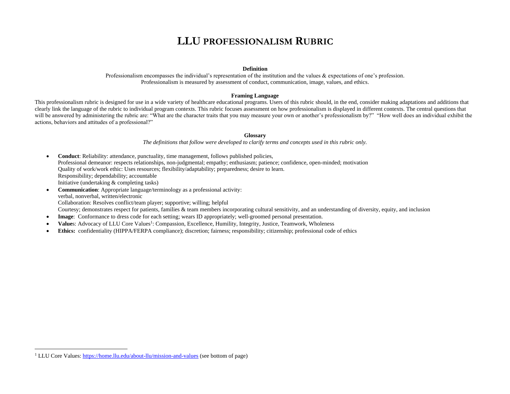## **LLU PROFESSIONALISM RUBRIC**

#### **Definition**

Professionalism encompasses the individual's representation of the institution and the values & expectations of one's profession. Professionalism is measured by assessment of conduct, communication, image, values, and ethics.

#### **Framing Language**

This professionalism rubric is designed for use in a wide variety of healthcare educational programs. Users of this rubric should, in the end, consider making adaptations and additions that clearly link the language of the rubric to individual program contexts. This rubric focuses assessment on how professionalism is displayed in different contexts. The central questions that will be answered by administering the rubric are: "What are the character traits that you may measure your own or another's professionalism by?" "How well does an individual exhibit the actions, behaviors and attitudes of a professional?"

### **Glossary**

*The definitions that follow were developed to clarify terms and concepts used in this rubric only.*

- **Conduct**: Reliability: attendance, punctuality, time management, follows published policies, Professional demeanor: respects relationships, non-judgmental; empathy; enthusiasm; patience; confidence, open-minded; motivation Quality of work/work ethic: Uses resources; flexibility/adaptability; preparedness; desire to learn. Responsibility; dependability; accountable Initiative (undertaking & completing tasks)
- **Communication**: Appropriate language/terminology as a professional activity: verbal, nonverbal, written/electronic Collaboration: Resolves conflict/team player; supportive; willing; helpful Courtesy; demonstrates respect for patients, families & team members incorporating cultural sensitivity, and an understanding of diversity, equity, and inclusion
- **Image:** Conformance to dress code for each setting; wears ID appropriately; well-groomed personal presentation.
- Values: Advocacy of LLU Core Values<sup>1</sup>: Compassion, Excellence, Humility, Integrity, Justice, Teamwork, Wholeness
- **Ethics:** confidentiality (HIPPA/FERPA compliance); discretion; fairness; responsibility; citizenship; professional code of ethics

<sup>&</sup>lt;sup>1</sup> LLU Core Values[: https://home.llu.edu/about-llu/mission-and-values](https://home.llu.edu/about-llu/mission-and-values) (see bottom of page)